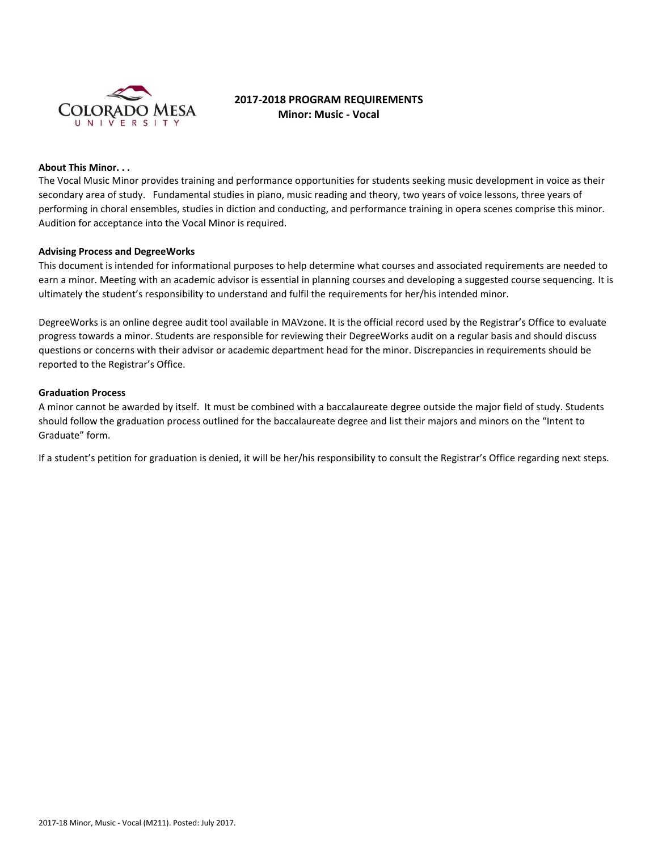

# **2017-2018 PROGRAM REQUIREMENTS Minor: Music - Vocal**

#### **About This Minor. . .**

The Vocal Music Minor provides training and performance opportunities for students seeking music development in voice as their secondary area of study. Fundamental studies in piano, music reading and theory, two years of voice lessons, three years of performing in choral ensembles, studies in diction and conducting, and performance training in opera scenes comprise this minor. Audition for acceptance into the Vocal Minor is required.

#### **Advising Process and DegreeWorks**

This document is intended for informational purposes to help determine what courses and associated requirements are needed to earn a minor. Meeting with an academic advisor is essential in planning courses and developing a suggested course sequencing. It is ultimately the student's responsibility to understand and fulfil the requirements for her/his intended minor.

DegreeWorks is an online degree audit tool available in MAVzone. It is the official record used by the Registrar's Office to evaluate progress towards a minor. Students are responsible for reviewing their DegreeWorks audit on a regular basis and should discuss questions or concerns with their advisor or academic department head for the minor. Discrepancies in requirements should be reported to the Registrar's Office.

## **Graduation Process**

A minor cannot be awarded by itself. It must be combined with a baccalaureate degree outside the major field of study. Students should follow the graduation process outlined for the baccalaureate degree and list their majors and minors on the "Intent to Graduate" form.

If a student's petition for graduation is denied, it will be her/his responsibility to consult the Registrar's Office regarding next steps.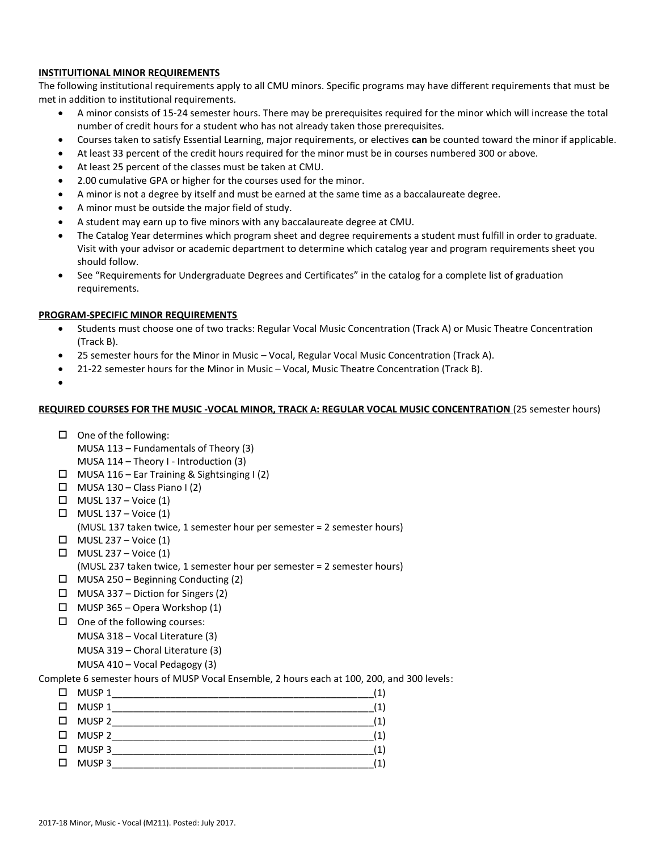# **INSTITUITIONAL MINOR REQUIREMENTS**

The following institutional requirements apply to all CMU minors. Specific programs may have different requirements that must be met in addition to institutional requirements.

- A minor consists of 15-24 semester hours. There may be prerequisites required for the minor which will increase the total number of credit hours for a student who has not already taken those prerequisites.
- Courses taken to satisfy Essential Learning, major requirements, or electives **can** be counted toward the minor if applicable.
- At least 33 percent of the credit hours required for the minor must be in courses numbered 300 or above.
- At least 25 percent of the classes must be taken at CMU.
- 2.00 cumulative GPA or higher for the courses used for the minor.
- A minor is not a degree by itself and must be earned at the same time as a baccalaureate degree.
- A minor must be outside the major field of study.
- A student may earn up to five minors with any baccalaureate degree at CMU.
- The Catalog Year determines which program sheet and degree requirements a student must fulfill in order to graduate. Visit with your advisor or academic department to determine which catalog year and program requirements sheet you should follow.
- See "Requirements for Undergraduate Degrees and Certificates" in the catalog for a complete list of graduation requirements.

# **PROGRAM-SPECIFIC MINOR REQUIREMENTS**

- Students must choose one of two tracks: Regular Vocal Music Concentration (Track A) or Music Theatre Concentration (Track B).
- 25 semester hours for the Minor in Music Vocal, Regular Vocal Music Concentration (Track A).
- 21-22 semester hours for the Minor in Music Vocal, Music Theatre Concentration (Track B).
- $\bullet$

## **REQUIRED COURSES FOR THE MUSIC -VOCAL MINOR, TRACK A: REGULAR VOCAL MUSIC CONCENTRATION** (25 semester hours)

- $\Box$  One of the following:
	- MUSA 113 Fundamentals of Theory (3)
- MUSA 114 Theory I Introduction (3)
- MUSA 116 Ear Training & Sightsinging I (2)
- $\Box$  MUSA 130 Class Piano I (2)
- $\Box$  MUSL 137 Voice (1)
- $\Box$  MUSL 137 Voice (1)
	- (MUSL 137 taken twice, 1 semester hour per semester = 2 semester hours)
- $\Box$  MUSL 237 Voice (1)
- $\Box$  MUSL 237 Voice (1)
- (MUSL 237 taken twice, 1 semester hour per semester = 2 semester hours)
- $\Box$  MUSA 250 Beginning Conducting (2)
- $\Box$  MUSA 337 Diction for Singers (2)
- $\Box$  MUSP 365 Opera Workshop (1)
- $\Box$  One of the following courses:
	- MUSA 318 Vocal Literature (3)
		- MUSA 319 Choral Literature (3)
	- MUSA 410 Vocal Pedagogy (3)

# Complete 6 semester hours of MUSP Vocal Ensemble, 2 hours each at 100, 200, and 300 levels:

| □      | MUSP 1 | 1             |
|--------|--------|---------------|
| $\Box$ | MUSP 1 | 1             |
| $\Box$ | MUSP 2 | $^{\circ}$ 1  |
| $\Box$ | MUSP 2 | 1             |
| $\Box$ | MUSP 3 | $^{\prime}$ 1 |
| - 11   | MUSP 3 |               |